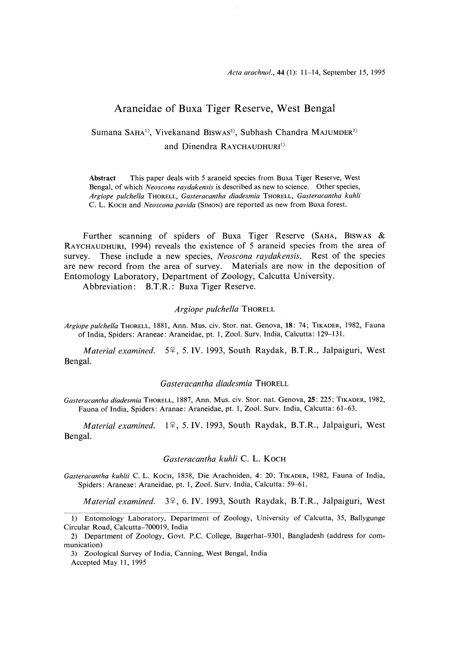## Araneidae of Buxa Tiger Reserve, West Bengal

# Sumana SAHA<sup>1)</sup>, Vivekanand BISWAS<sup>2)</sup>, Subhash Chandra MAJUMDER<sup>3)</sup> and Dinendra RAYCHAUDHURI<sup>1)</sup>

Abstract This paper deals with 5 araneid species from Buxa Tiger Reserve, West Bengal, of which Neoscona raydakensis is described as new to science. Other species, Argiope pulchella THORELL, Gasteracantha diadesmia THORELL, Gasteracantha kuhli C. L. KOCH and Neoscona pavida (SIMON) are reported as new from Buxa forest.

Further scanning of spiders of Buxa Tiger Reserve (SAHA, BISWAS  $\&$ RAYCHAUDHURI, 1994) reveals the existence of 5 araneid species from the area of survey. These include a new species, Neoscona raydakensis. Rest of the species are new record from the area of survey. Materials are now in the deposition of Entomology Laboratory, Department of Zoology, Calcutta University.

Abbreviation: B.T.R.: Buxa Tiger Reserve.

### Argiope pulchella THORELL

Argiope pulchella THORELL, 1881, Ann. Mus. civ. Stor. nat. Genova, 18: 74; TIKADER, 1982, Fau of India, Spiders: Araneae: Araneidae, pt. 1, Zoo!. Surv. India, Calcutta: 129-131.

*Material examined.*  $5^{\circ}$ , 5. IV. 1993, South Raydak, B.T.R., Jalpaiguri, We Bengal.

### Gasteracantha diadesmia THORELL

Gasteracantha diadesmia THORELL, 1887, Ann. Mus, civ. Stor. nat. Genova, 25: 225; TIKADER, 1982, Fauna of India, Spiders: Aranae: Araneidae, pt. 1, Zoo!. Surv. India, Calcutta: 61-63.

Material examined. 1º, 5. IV. 1993, South Raydak, B.T.R., Jalpaiguri, West Bengal.

### Gasteracantha kuhli C. L. KOCH

Gasteracantha kuhlii C. L. Koch, 1838, Die Arachniden, 4: 20; TIKADER, 1982, Fauna of India, Spiders: Araneae: Araneidae, pt. 1, Zool. Surv. India, Calcutta: 59-61.

*Material examined.*  $3\frac{9}{5}$ , 6. IV. 1993, South Raydak, B.T.R., Jalpaiguri, West

<sup>1)</sup> Entomology Laboratory, Department of Zoology, University of Calcutta, 35, Ballygunge Circular Road, Calcutta-700019, India

<sup>2)</sup> Department of Zoology, Govt. P.C. College, Bagerhat-9301, Bangladesh (address for communication)

<sup>3)</sup> Zoological Survey of India, Canning, West Bengal, India

Accepted May 11, 1995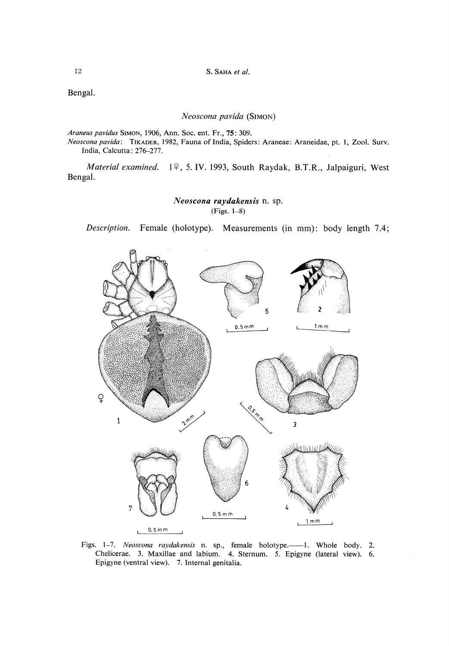12 S. SAHA et al.

Bengal.

### Neoscona pavida (SIMoN)

Araneus pavidus SIMON, 1906, Ann. Soc. ent. Fr., 75: 309.

Neoscona pavida: TIKADER, 1982, Fauna of India, Spiders: Araneae: Araneidae, pt. 1, Zool. Surv. India, Calcutta: 276-277.

Material examined. 1º, 5. IV. 1993, South Raydak, B.T.R., Jalpaiguri, West Bengal.

## Neoscona raydakensis n. sp. (Figs. 1-8)

Description. Female (holotype). Measurements (in mm): body length 7.4;



Figs. 1-7. Neoscona raydakensis n. sp., female holotype.—1. Whole body. 2. Chelicerae. 3. Maxillae and labium. 4. Sternum. 5. Epigyne (lateral view). 6 Epigyne (ventral view). 7. Internal genitalia.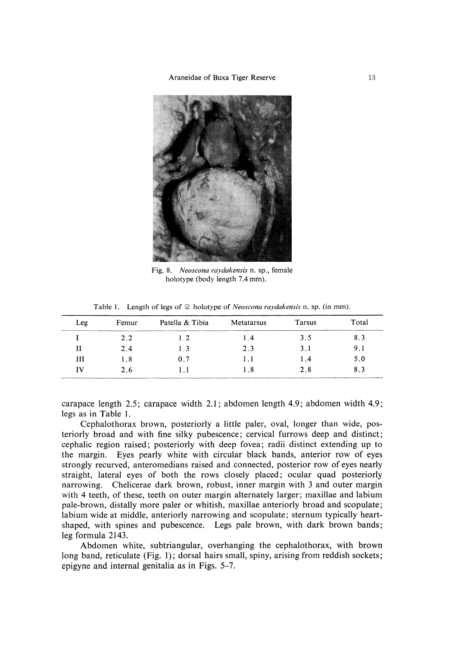#### Araneidae of Buxa Tiger Reserve 13



 Fig. 8. Neoscona raydakensis n, sp., female holotype (body length 7.4 mm).

Table 1. Length of legs of  $\varphi$  holotype of *Neoscona raydakensis* n. sp. (in mm)

| Leg | Femur | Patella & Tibia | Metatarsus | Tarsus | Total |
|-----|-------|-----------------|------------|--------|-------|
|     | 2.2   | $1\,2$          | 1.4        | 3.5    | 8.3   |
| н   | 2.4   | 1.3             | 2.3        | 3.1    | 9.1   |
| Ш   | 1.8   | 0.7             | 1.1        | 1.4    | 5.0   |
| TV  | 2.6   |                 | 1.8        | 2.8    | 8.3   |

carapace length 2.5; carapace width 2.1; abdomen length 4.9; abdomen width 4.9; legs as in Table 1.

 Cephalothorax brown, posteriorly a little paler, oval, longer than wide, posteriorly broad and with fine silky pubescence; cervical furrows deep and distinct; cephalic region raised; posteriorly with deep fovea; radii distinct extending up to the margin. Eyes pearly white with circular black bands, anterior row of eyes strongly recurved, anteromedians raised and connected, posterior row of eyes nearly straight, lateral eyes of both the rows closely placed; ocular quad posteriorly narrowing. Chelicerae dark brown, robust, inner margin with 3 and outer margin with 4 teeth, of these, teeth on outer margin alternately larger; maxillae and labium pale-brown, distally more paler or whitish, maxillae anteriorly broad and scopulate; labium wide at middle, anteriorly narrowing and scopulate; sternum typically heartshaped, with spines and pubescence. Legs pale brown, with dark brown bands; leg formula 2143.

 Abdomen white, subtriangular, overhanging the cephalothorax, with brown long band, reticulate (Fig. 1); dorsal hairs small, spiny, arising from reddish sockets; epigyne and internal genitalia as in Figs. 5-7.